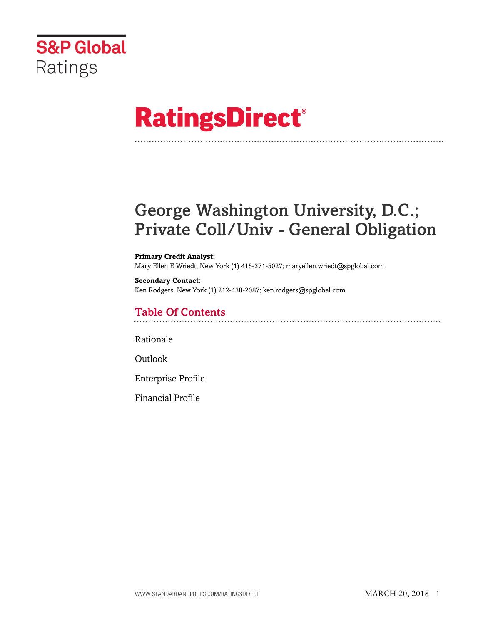

# **RatingsDirect®**

# George Washington University, D.C.; Private Coll/Univ - General Obligation

#### **Primary Credit Analyst:**

Mary Ellen E Wriedt, New York (1) 415-371-5027; maryellen.wriedt@spglobal.com

#### **Secondary Contact:** Ken Rodgers, New York (1) 212-438-2087; ken.rodgers@spglobal.com

# Table Of Contents

[Rationale](#page-1-0)

[Outlook](#page-2-0)

[Enterprise Profile](#page-2-1)

[Financial Profile](#page-4-0)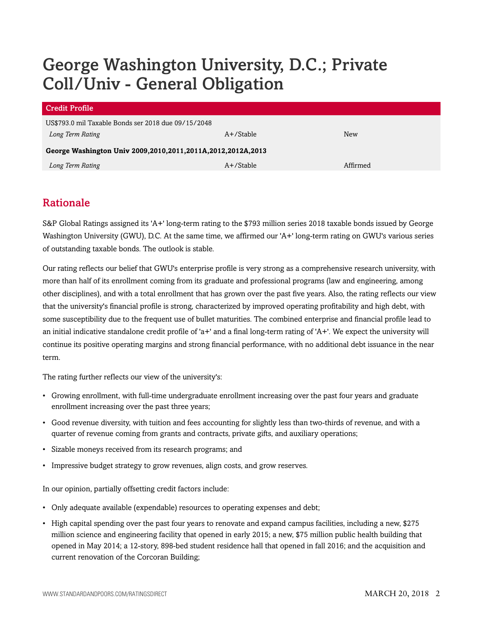# George Washington University, D.C.; Private Coll/Univ - General Obligation

| <b>Credit Profile</b>                                             |              |          |  |  |  |  |  |
|-------------------------------------------------------------------|--------------|----------|--|--|--|--|--|
| US\$793.0 mil Taxable Bonds ser 2018 due 09/15/2048               |              |          |  |  |  |  |  |
| Long Term Rating                                                  | $A+$ /Stable | New      |  |  |  |  |  |
| George Washington Univ 2009, 2010, 2011, 2011A, 2012, 2012A, 2013 |              |          |  |  |  |  |  |
| Long Term Rating                                                  | $A+$ /Stable | Affirmed |  |  |  |  |  |

# <span id="page-1-0"></span>Rationale

S&P Global Ratings assigned its 'A+' long-term rating to the \$793 million series 2018 taxable bonds issued by George Washington University (GWU), D.C. At the same time, we affirmed our 'A+' long-term rating on GWU's various series of outstanding taxable bonds. The outlook is stable.

Our rating reflects our belief that GWU's enterprise profile is very strong as a comprehensive research university, with more than half of its enrollment coming from its graduate and professional programs (law and engineering, among other disciplines), and with a total enrollment that has grown over the past five years. Also, the rating reflects our view that the university's financial profile is strong, characterized by improved operating profitability and high debt, with some susceptibility due to the frequent use of bullet maturities. The combined enterprise and financial profile lead to an initial indicative standalone credit profile of 'a+' and a final long-term rating of 'A+'. We expect the university will continue its positive operating margins and strong financial performance, with no additional debt issuance in the near term.

The rating further reflects our view of the university's:

- Growing enrollment, with full-time undergraduate enrollment increasing over the past four years and graduate enrollment increasing over the past three years;
- Good revenue diversity, with tuition and fees accounting for slightly less than two-thirds of revenue, and with a quarter of revenue coming from grants and contracts, private gifts, and auxiliary operations;
- Sizable moneys received from its research programs; and
- Impressive budget strategy to grow revenues, align costs, and grow reserves.

In our opinion, partially offsetting credit factors include:

- Only adequate available (expendable) resources to operating expenses and debt;
- High capital spending over the past four years to renovate and expand campus facilities, including a new, \$275 million science and engineering facility that opened in early 2015; a new, \$75 million public health building that opened in May 2014; a 12-story, 898-bed student residence hall that opened in fall 2016; and the acquisition and current renovation of the Corcoran Building;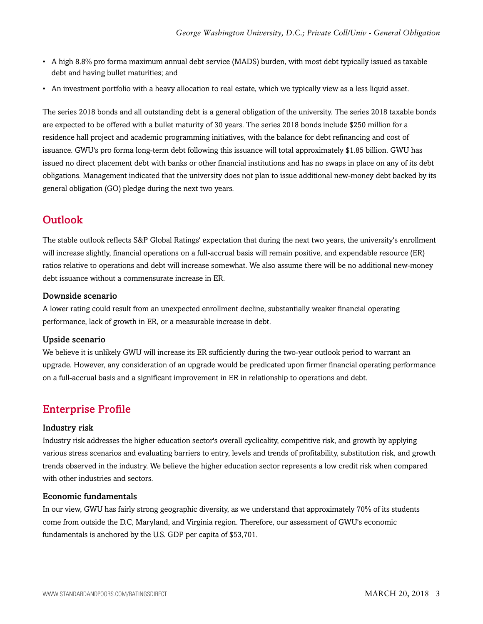- A high 8.8% pro forma maximum annual debt service (MADS) burden, with most debt typically issued as taxable debt and having bullet maturities; and
- An investment portfolio with a heavy allocation to real estate, which we typically view as a less liquid asset.

The series 2018 bonds and all outstanding debt is a general obligation of the university. The series 2018 taxable bonds are expected to be offered with a bullet maturity of 30 years. The series 2018 bonds include \$250 million for a residence hall project and academic programming initiatives, with the balance for debt refinancing and cost of issuance. GWU's pro forma long-term debt following this issuance will total approximately \$1.85 billion. GWU has issued no direct placement debt with banks or other financial institutions and has no swaps in place on any of its debt obligations. Management indicated that the university does not plan to issue additional new-money debt backed by its general obligation (GO) pledge during the next two years.

## <span id="page-2-0"></span>**Outlook**

The stable outlook reflects S&P Global Ratings' expectation that during the next two years, the university's enrollment will increase slightly, financial operations on a full-accrual basis will remain positive, and expendable resource (ER) ratios relative to operations and debt will increase somewhat. We also assume there will be no additional new-money debt issuance without a commensurate increase in ER.

#### Downside scenario

A lower rating could result from an unexpected enrollment decline, substantially weaker financial operating performance, lack of growth in ER, or a measurable increase in debt.

#### Upside scenario

We believe it is unlikely GWU will increase its ER sufficiently during the two-year outlook period to warrant an upgrade. However, any consideration of an upgrade would be predicated upon firmer financial operating performance on a full-accrual basis and a significant improvement in ER in relationship to operations and debt.

### <span id="page-2-1"></span>Enterprise Profile

#### Industry risk

Industry risk addresses the higher education sector's overall cyclicality, competitive risk, and growth by applying various stress scenarios and evaluating barriers to entry, levels and trends of profitability, substitution risk, and growth trends observed in the industry. We believe the higher education sector represents a low credit risk when compared with other industries and sectors.

#### Economic fundamentals

In our view, GWU has fairly strong geographic diversity, as we understand that approximately 70% of its students come from outside the D.C, Maryland, and Virginia region. Therefore, our assessment of GWU's economic fundamentals is anchored by the U.S. GDP per capita of \$53,701.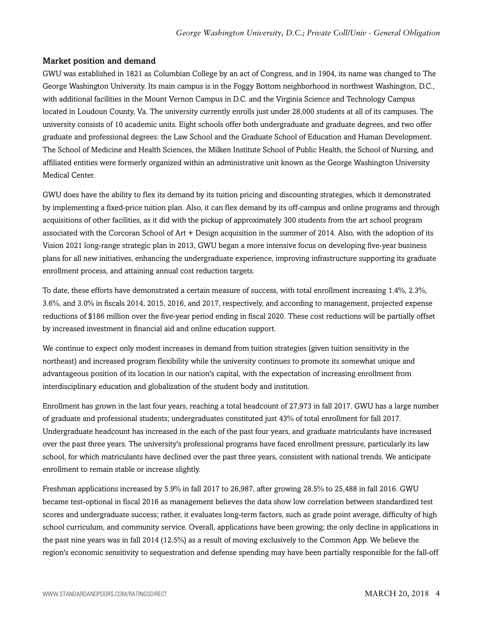#### Market position and demand

GWU was established in 1821 as Columbian College by an act of Congress, and in 1904, its name was changed to The George Washington University. Its main campus is in the Foggy Bottom neighborhood in northwest Washington, D.C., with additional facilities in the Mount Vernon Campus in D.C. and the Virginia Science and Technology Campus located in Loudoun County, Va. The university currently enrolls just under 28,000 students at all of its campuses. The university consists of 10 academic units. Eight schools offer both undergraduate and graduate degrees, and two offer graduate and professional degrees: the Law School and the Graduate School of Education and Human Development. The School of Medicine and Health Sciences, the Milken Institute School of Public Health, the School of Nursing, and affiliated entities were formerly organized within an administrative unit known as the George Washington University Medical Center.

GWU does have the ability to flex its demand by its tuition pricing and discounting strategies, which it demonstrated by implementing a fixed-price tuition plan. Also, it can flex demand by its off-campus and online programs and through acquisitions of other facilities, as it did with the pickup of approximately 300 students from the art school program associated with the Corcoran School of Art + Design acquisition in the summer of 2014. Also, with the adoption of its Vision 2021 long-range strategic plan in 2013, GWU began a more intensive focus on developing five-year business plans for all new initiatives, enhancing the undergraduate experience, improving infrastructure supporting its graduate enrollment process, and attaining annual cost reduction targets.

To date, these efforts have demonstrated a certain measure of success, with total enrollment increasing 1.4%, 2.3%, 3.6%, and 3.0% in fiscals 2014, 2015, 2016, and 2017, respectively, and according to management, projected expense reductions of \$186 million over the five-year period ending in fiscal 2020. These cost reductions will be partially offset by increased investment in financial aid and online education support.

We continue to expect only modest increases in demand from tuition strategies (given tuition sensitivity in the northeast) and increased program flexibility while the university continues to promote its somewhat unique and advantageous position of its location in our nation's capital, with the expectation of increasing enrollment from interdisciplinary education and globalization of the student body and institution.

Enrollment has grown in the last four years, reaching a total headcount of 27,973 in fall 2017. GWU has a large number of graduate and professional students; undergraduates constituted just 43% of total enrollment for fall 2017. Undergraduate headcount has increased in the each of the past four years, and graduate matriculants have increased over the past three years. The university's professional programs have faced enrollment pressure, particularly its law school, for which matriculants have declined over the past three years, consistent with national trends. We anticipate enrollment to remain stable or increase slightly.

Freshman applications increased by 5.9% in fall 2017 to 26,987, after growing 28.5% to 25,488 in fall 2016. GWU became test-optional in fiscal 2016 as management believes the data show low correlation between standardized test scores and undergraduate success; rather, it evaluates long-term factors, such as grade point average, difficulty of high school curriculum, and community service. Overall, applications have been growing; the only decline in applications in the past nine years was in fall 2014 (12.5%) as a result of moving exclusively to the Common App. We believe the region's economic sensitivity to sequestration and defense spending may have been partially responsible for the fall-off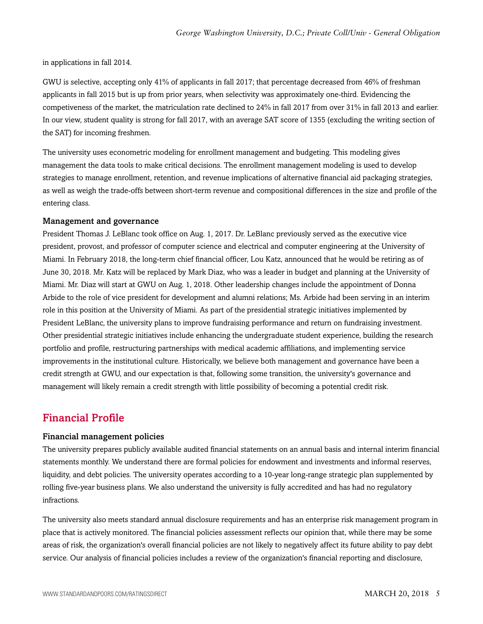in applications in fall 2014.

GWU is selective, accepting only 41% of applicants in fall 2017; that percentage decreased from 46% of freshman applicants in fall 2015 but is up from prior years, when selectivity was approximately one-third. Evidencing the competiveness of the market, the matriculation rate declined to 24% in fall 2017 from over 31% in fall 2013 and earlier. In our view, student quality is strong for fall 2017, with an average SAT score of 1355 (excluding the writing section of the SAT) for incoming freshmen.

The university uses econometric modeling for enrollment management and budgeting. This modeling gives management the data tools to make critical decisions. The enrollment management modeling is used to develop strategies to manage enrollment, retention, and revenue implications of alternative financial aid packaging strategies, as well as weigh the trade-offs between short-term revenue and compositional differences in the size and profile of the entering class.

#### Management and governance

President Thomas J. LeBlanc took office on Aug. 1, 2017. Dr. LeBlanc previously served as the executive vice president, provost, and professor of computer science and electrical and computer engineering at the University of Miami. In February 2018, the long-term chief financial officer, Lou Katz, announced that he would be retiring as of June 30, 2018. Mr. Katz will be replaced by Mark Diaz, who was a leader in budget and planning at the University of Miami. Mr. Diaz will start at GWU on Aug. 1, 2018. Other leadership changes include the appointment of Donna Arbide to the role of vice president for development and alumni relations; Ms. Arbide had been serving in an interim role in this position at the University of Miami. As part of the presidential strategic initiatives implemented by President LeBlanc, the university plans to improve fundraising performance and return on fundraising investment. Other presidential strategic initiatives include enhancing the undergraduate student experience, building the research portfolio and profile, restructuring partnerships with medical academic affiliations, and implementing service improvements in the institutional culture. Historically, we believe both management and governance have been a credit strength at GWU, and our expectation is that, following some transition, the university's governance and management will likely remain a credit strength with little possibility of becoming a potential credit risk.

### <span id="page-4-0"></span>Financial Profile

#### Financial management policies

The university prepares publicly available audited financial statements on an annual basis and internal interim financial statements monthly. We understand there are formal policies for endowment and investments and informal reserves, liquidity, and debt policies. The university operates according to a 10-year long-range strategic plan supplemented by rolling five-year business plans. We also understand the university is fully accredited and has had no regulatory infractions.

The university also meets standard annual disclosure requirements and has an enterprise risk management program in place that is actively monitored. The financial policies assessment reflects our opinion that, while there may be some areas of risk, the organization's overall financial policies are not likely to negatively affect its future ability to pay debt service. Our analysis of financial policies includes a review of the organization's financial reporting and disclosure,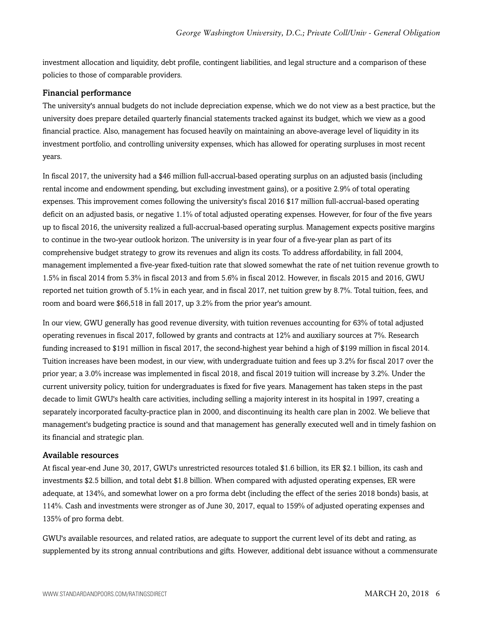investment allocation and liquidity, debt profile, contingent liabilities, and legal structure and a comparison of these policies to those of comparable providers.

#### Financial performance

The university's annual budgets do not include depreciation expense, which we do not view as a best practice, but the university does prepare detailed quarterly financial statements tracked against its budget, which we view as a good financial practice. Also, management has focused heavily on maintaining an above-average level of liquidity in its investment portfolio, and controlling university expenses, which has allowed for operating surpluses in most recent years.

In fiscal 2017, the university had a \$46 million full-accrual-based operating surplus on an adjusted basis (including rental income and endowment spending, but excluding investment gains), or a positive 2.9% of total operating expenses. This improvement comes following the university's fiscal 2016 \$17 million full-accrual-based operating deficit on an adjusted basis, or negative 1.1% of total adjusted operating expenses. However, for four of the five years up to fiscal 2016, the university realized a full-accrual-based operating surplus. Management expects positive margins to continue in the two-year outlook horizon. The university is in year four of a five-year plan as part of its comprehensive budget strategy to grow its revenues and align its costs. To address affordability, in fall 2004, management implemented a five-year fixed-tuition rate that slowed somewhat the rate of net tuition revenue growth to 1.5% in fiscal 2014 from 5.3% in fiscal 2013 and from 5.6% in fiscal 2012. However, in fiscals 2015 and 2016, GWU reported net tuition growth of 5.1% in each year, and in fiscal 2017, net tuition grew by 8.7%. Total tuition, fees, and room and board were \$66,518 in fall 2017, up 3.2% from the prior year's amount.

In our view, GWU generally has good revenue diversity, with tuition revenues accounting for 63% of total adjusted operating revenues in fiscal 2017, followed by grants and contracts at 12% and auxiliary sources at 7%. Research funding increased to \$191 million in fiscal 2017, the second-highest year behind a high of \$199 million in fiscal 2014. Tuition increases have been modest, in our view, with undergraduate tuition and fees up 3.2% for fiscal 2017 over the prior year; a 3.0% increase was implemented in fiscal 2018, and fiscal 2019 tuition will increase by 3.2%. Under the current university policy, tuition for undergraduates is fixed for five years. Management has taken steps in the past decade to limit GWU's health care activities, including selling a majority interest in its hospital in 1997, creating a separately incorporated faculty-practice plan in 2000, and discontinuing its health care plan in 2002. We believe that management's budgeting practice is sound and that management has generally executed well and in timely fashion on its financial and strategic plan.

#### Available resources

At fiscal year-end June 30, 2017, GWU's unrestricted resources totaled \$1.6 billion, its ER \$2.1 billion, its cash and investments \$2.5 billion, and total debt \$1.8 billion. When compared with adjusted operating expenses, ER were adequate, at 134%, and somewhat lower on a pro forma debt (including the effect of the series 2018 bonds) basis, at 114%. Cash and investments were stronger as of June 30, 2017, equal to 159% of adjusted operating expenses and 135% of pro forma debt.

GWU's available resources, and related ratios, are adequate to support the current level of its debt and rating, as supplemented by its strong annual contributions and gifts. However, additional debt issuance without a commensurate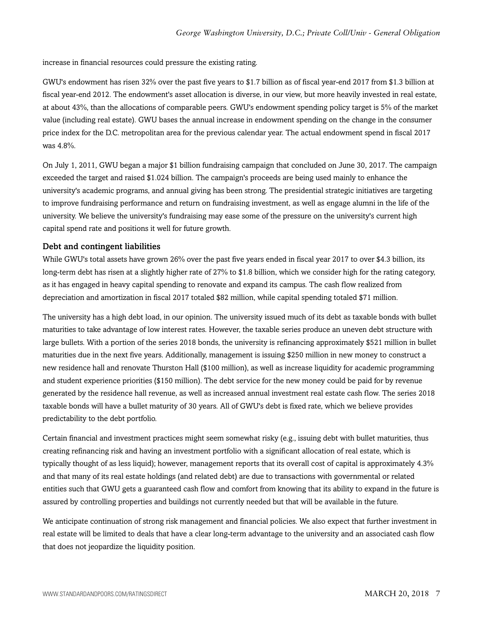increase in financial resources could pressure the existing rating.

GWU's endowment has risen 32% over the past five years to \$1.7 billion as of fiscal year-end 2017 from \$1.3 billion at fiscal year-end 2012. The endowment's asset allocation is diverse, in our view, but more heavily invested in real estate, at about 43%, than the allocations of comparable peers. GWU's endowment spending policy target is 5% of the market value (including real estate). GWU bases the annual increase in endowment spending on the change in the consumer price index for the D.C. metropolitan area for the previous calendar year. The actual endowment spend in fiscal 2017 was 4.8%.

On July 1, 2011, GWU began a major \$1 billion fundraising campaign that concluded on June 30, 2017. The campaign exceeded the target and raised \$1.024 billion. The campaign's proceeds are being used mainly to enhance the university's academic programs, and annual giving has been strong. The presidential strategic initiatives are targeting to improve fundraising performance and return on fundraising investment, as well as engage alumni in the life of the university. We believe the university's fundraising may ease some of the pressure on the university's current high capital spend rate and positions it well for future growth.

#### Debt and contingent liabilities

While GWU's total assets have grown 26% over the past five years ended in fiscal year 2017 to over \$4.3 billion, its long-term debt has risen at a slightly higher rate of 27% to \$1.8 billion, which we consider high for the rating category, as it has engaged in heavy capital spending to renovate and expand its campus. The cash flow realized from depreciation and amortization in fiscal 2017 totaled \$82 million, while capital spending totaled \$71 million.

The university has a high debt load, in our opinion. The university issued much of its debt as taxable bonds with bullet maturities to take advantage of low interest rates. However, the taxable series produce an uneven debt structure with large bullets. With a portion of the series 2018 bonds, the university is refinancing approximately \$521 million in bullet maturities due in the next five years. Additionally, management is issuing \$250 million in new money to construct a new residence hall and renovate Thurston Hall (\$100 million), as well as increase liquidity for academic programming and student experience priorities (\$150 million). The debt service for the new money could be paid for by revenue generated by the residence hall revenue, as well as increased annual investment real estate cash flow. The series 2018 taxable bonds will have a bullet maturity of 30 years. All of GWU's debt is fixed rate, which we believe provides predictability to the debt portfolio.

Certain financial and investment practices might seem somewhat risky (e.g., issuing debt with bullet maturities, thus creating refinancing risk and having an investment portfolio with a significant allocation of real estate, which is typically thought of as less liquid); however, management reports that its overall cost of capital is approximately 4.3% and that many of its real estate holdings (and related debt) are due to transactions with governmental or related entities such that GWU gets a guaranteed cash flow and comfort from knowing that its ability to expand in the future is assured by controlling properties and buildings not currently needed but that will be available in the future.

We anticipate continuation of strong risk management and financial policies. We also expect that further investment in real estate will be limited to deals that have a clear long-term advantage to the university and an associated cash flow that does not jeopardize the liquidity position.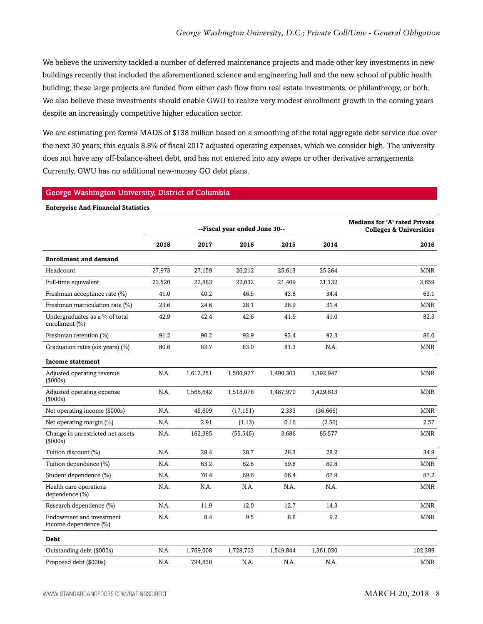We believe the university tackled a number of deferred maintenance projects and made other key investments in new buildings recently that included the aforementioned science and engineering hall and the new school of public health building; these large projects are funded from either cash flow from real estate investments, or philanthropy, or both. We also believe these investments should enable GWU to realize very modest enrollment growth in the coming years despite an increasingly competitive higher education sector.

We are estimating pro forma MADS of \$138 million based on a smoothing of the total aggregate debt service due over the next 30 years; this equals 8.8% of fiscal 2017 adjusted operating expenses, which we consider high. The university does not have any off-balance-sheet debt, and has not entered into any swaps or other derivative arrangements. Currently, GWU has no additional new-money GO debt plans.

#### George Washington University, District of Columbia

| <b>Enterprise And Financial Statistics</b>           |        |                               |                                                                            |           |           |            |  |  |
|------------------------------------------------------|--------|-------------------------------|----------------------------------------------------------------------------|-----------|-----------|------------|--|--|
|                                                      |        | --Fiscal year ended June 30-- | <b>Medians for 'A' rated Private</b><br><b>Colleges &amp; Universities</b> |           |           |            |  |  |
|                                                      | 2018   | 2017                          | 2016                                                                       | 2015      | 2014      | 2016       |  |  |
| <b>Enrollment and demand</b>                         |        |                               |                                                                            |           |           |            |  |  |
| Headcount                                            | 27,973 | 27,159                        | 26,212                                                                     | 25,613    | 25,264    | <b>MNR</b> |  |  |
| Full-time equivalent                                 | 23,520 | 22,883                        | 22,032                                                                     | 21,409    | 21,132    | 3,659      |  |  |
| Freshman acceptance rate (%)                         | 41.0   | 40.2                          | 46.5                                                                       | 43.8      | 34.4      | 63.1       |  |  |
| Freshman matriculation rate (%)                      | 23.6   | 24.6                          | 28.1                                                                       | 28.9      | 31.4      | <b>MNR</b> |  |  |
| Undergraduates as a % of total<br>enrollment $(\% )$ | 42.9   | 42.4                          | 42.6                                                                       | 41.9      | 41.0      | 82.3       |  |  |
| Freshman retention (%)                               | 91.2   | 90.2                          | 93.9                                                                       | 93.4      | 92.3      | 86.0       |  |  |
| Graduation rates (six years) (%)                     | 80.6   | 83.7                          | 83.0                                                                       | 81.3      | N.A.      | <b>MNR</b> |  |  |
| Income statement                                     |        |                               |                                                                            |           |           |            |  |  |
| Adjusted operating revenue<br>(\$000s)               | N.A.   | 1,612,251                     | 1,500,927                                                                  | 1,490,303 | 1,392,947 | <b>MNR</b> |  |  |
| Adjusted operating expense<br>(\$000s)               | N.A.   | 1,566,642                     | 1,518,078                                                                  | 1,487,970 | 1,429,613 | <b>MNR</b> |  |  |
| Net operating income (\$000s)                        | N.A.   | 45,609                        | (17, 151)                                                                  | 2,333     | (36, 666) | <b>MNR</b> |  |  |
| Net operating margin (%)                             | N.A.   | 2.91                          | (1.13)                                                                     | 0.16      | (2.56)    | 2.57       |  |  |
| Change in unrestricted net assets<br>(\$000s)        | N.A.   | 162,385                       | (55, 545)                                                                  | 3,686     | 85,577    | MNR        |  |  |
| Tuition discount (%)                                 | N.A.   | 28.4                          | 28.7                                                                       | 28.3      | 28.2      | 34.9       |  |  |
| Tuition dependence (%)                               | N.A.   | 63.2                          | 62.8                                                                       | 59.8      | 60.8      | <b>MNR</b> |  |  |
| Student dependence (%)                               | N.A.   | 70.4                          | 69.6                                                                       | 66.4      | 67.9      | 87.2       |  |  |
| Health care operations<br>dependence (%)             | N.A.   | N.A.                          | N.A.                                                                       | N.A.      | N.A.      | <b>MNR</b> |  |  |
| Research dependence (%)                              | N.A.   | 11.9                          | 12.0                                                                       | 12.7      | 14.3      | <b>MNR</b> |  |  |
| Endowment and investment<br>income dependence (%)    | N.A.   | 8.4                           | 9.5                                                                        | 8.8       | 9.2       | <b>MNR</b> |  |  |
| <b>Debt</b>                                          |        |                               |                                                                            |           |           |            |  |  |
| Outstanding debt (\$000s)                            | N.A.   | 1,769,008                     | 1,728,703                                                                  | 1,549,844 | 1,361,030 | 102,389    |  |  |
| Proposed debt (\$000s)                               | N.A.   | 794,830                       | N.A.                                                                       | N.A.      | N.A.      | <b>MNR</b> |  |  |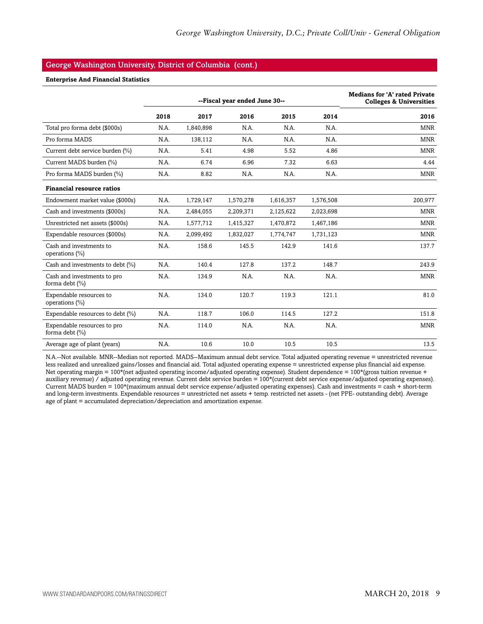#### George Washington University, District of Columbia (cont.)

#### **Enterprise And Financial Statistics**

|                                                   |      | --Fiscal year ended June 30-- | <b>Medians for 'A' rated Private</b><br><b>Colleges &amp; Universities</b> |           |           |            |
|---------------------------------------------------|------|-------------------------------|----------------------------------------------------------------------------|-----------|-----------|------------|
|                                                   | 2018 | 2017                          | 2016                                                                       | 2015      | 2014      | 2016       |
| Total pro forma debt (\$000s)                     | N.A. | 1,840,898                     | N.A.                                                                       | N.A.      | N.A.      | <b>MNR</b> |
| Pro forma MADS                                    | N.A. | 138,112                       | N.A.                                                                       | N.A.      | N.A.      | <b>MNR</b> |
| Current debt service burden (%)                   | N.A. | 5.41                          | 4.98                                                                       | 5.52      | 4.86      | <b>MNR</b> |
| Current MADS burden (%)                           | N.A. | 6.74                          | 6.96                                                                       | 7.32      | 6.63      | 4.44       |
| Pro forma MADS burden (%)                         | N.A. | 8.82                          | N.A.                                                                       | N.A.      | N.A.      | <b>MNR</b> |
| <b>Financial resource ratios</b>                  |      |                               |                                                                            |           |           |            |
| Endowment market value (\$000s)                   | N.A. | 1,729,147                     | 1,570,278                                                                  | 1,616,357 | 1,576,508 | 200,977    |
| Cash and investments (\$000s)                     | N.A. | 2,484,055                     | 2,209,371                                                                  | 2,125,622 | 2,023,698 | MNR        |
| Unrestricted net assets (\$000s)                  | N.A. | 1,577,712                     | 1,415,327                                                                  | 1,470,872 | 1,467,186 | <b>MNR</b> |
| Expendable resources (\$000s)                     | N.A. | 2,099,492                     | 1,832,027                                                                  | 1,774,747 | 1,731,123 | <b>MNR</b> |
| Cash and investments to<br>operations (%)         | N.A. | 158.6                         | 145.5                                                                      | 142.9     | 141.6     | 137.7      |
| Cash and investments to debt (%)                  | N.A. | 140.4                         | 127.8                                                                      | 137.2     | 148.7     | 243.9      |
| Cash and investments to pro<br>forma debt $(\% )$ | N.A. | 134.9                         | N.A.                                                                       | N.A.      | N.A.      | <b>MNR</b> |
| Expendable resources to<br>operations $(\% )$     | N.A. | 134.0                         | 120.7                                                                      | 119.3     | 121.1     | 81.0       |
| Expendable resources to debt (%)                  | N.A. | 118.7                         | 106.0                                                                      | 114.5     | 127.2     | 151.8      |
| Expendable resources to pro<br>forma debt (%)     | N.A. | 114.0                         | N.A.                                                                       | N.A.      | N.A.      | <b>MNR</b> |
| Average age of plant (years)                      | N.A. | 10.6                          | 10.0                                                                       | 10.5      | 10.5      | 13.5       |

N.A.--Not available. MNR--Median not reported. MADS--Maximum annual debt service. Total adjusted operating revenue = unrestricted revenue less realized and unrealized gains/losses and financial aid. Total adjusted operating expense = unrestricted expense plus financial aid expense. Net operating margin = 100\*(net adjusted operating income/adjusted operating expense). Student dependence = 100\*(gross tuition revenue + auxiliary revenue) / adjusted operating revenue. Current debt service burden = 100\*(current debt service expense/adjusted operating expenses). Current MADS burden = 100\*(maximum annual debt service expense/adjusted operating expenses). Cash and investments = cash + short-term and long-term investments. Expendable resources = unrestricted net assets + temp. restricted net assets - (net PPE- outstanding debt). Average age of plant = accumulated depreciation/depreciation and amortization expense.